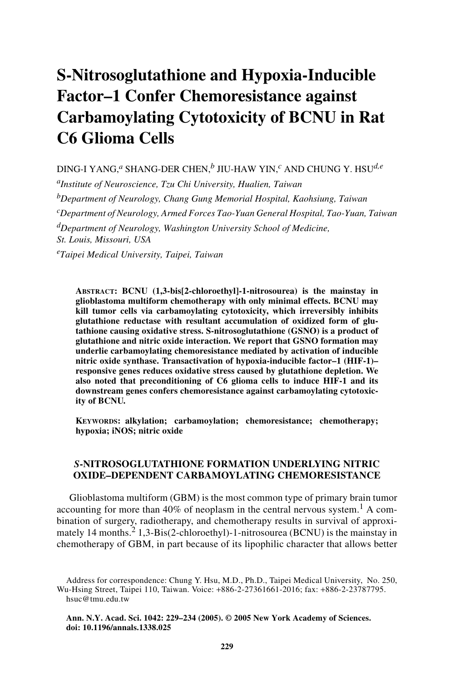# **S-Nitrosoglutathione and Hypoxia-Inducible Factor–1 Confer Chemoresistance against Carbamoylating Cytotoxicity of BCNU in Rat C6 Glioma Cells**

DING-I YANG,*a* SHANG-DER CHEN,*b* JIU-HAW YIN,*c* AND CHUNG Y. HSU*d,e aInstitute of Neuroscience, Tzu Chi University, Hualien, Taiwan bDepartment of Neurology, Chang Gung Memorial Hospital, Kaohsiung, Taiwan cDepartment of Neurology, Armed Forces Tao-Yuan General Hospital, Tao-Yuan, Taiwan dDepartment of Neurology, Washington University School of Medicine, St. Louis, Missouri, USA*

*eTaipei Medical University, Taipei, Taiwan*

**ABSTRACT: BCNU (1,3-bis[2-chloroethyl]-1-nitrosourea) is the mainstay in glioblastoma multiform chemotherapy with only minimal effects. BCNU may kill tumor cells via carbamoylating cytotoxicity, which irreversibly inhibits glutathione reductase with resultant accumulation of oxidized form of glutathione causing oxidative stress. S-nitrosoglutathione (GSNO) is a product of glutathione and nitric oxide interaction. We report that GSNO formation may underlie carbamoylating chemoresistance mediated by activation of inducible nitric oxide synthase. Transactivation of hypoxia-inducible factor–1 (HIF-1)– responsive genes reduces oxidative stress caused by glutathione depletion. We also noted that preconditioning of C6 glioma cells to induce HIF-1 and its downstream genes confers chemoresistance against carbamoylating cytotoxicity of BCNU.** 

**KEYWORDS: alkylation; carbamoylation; chemoresistance; chemotherapy; hypoxia; iNOS; nitric oxide**

## *S***-NITROSOGLUTATHIONE FORMATION UNDERLYING NITRIC OXIDE–DEPENDENT CARBAMOYLATING CHEMORESISTANCE**

Glioblastoma multiform (GBM) is the most common type of primary brain tumor accounting for more than  $40\%$  of neoplasm in the central nervous system.<sup>1</sup> A combination of surgery, radiotherapy, and chemotherapy results in survival of approximately 14 months.<sup>2</sup> 1,3-Bis(2-chloroethyl)-1-nitrosourea (BCNU) is the mainstay in chemotherapy of GBM, in part because of its lipophilic character that allows better

Address for correspondence: Chung Y. Hsu, M.D., Ph.D., Taipei Medical University, No. 250, Wu-Hsing Street, Taipei 110, Taiwan. Voice: +886-2-27361661-2016; fax: +886-2-23787795. hsuc@tmu.edu.tw

**Ann. N.Y. Acad. Sci. 1042: 229–234 (2005). © 2005 New York Academy of Sciences. doi: 10.1196/annals.1338.025**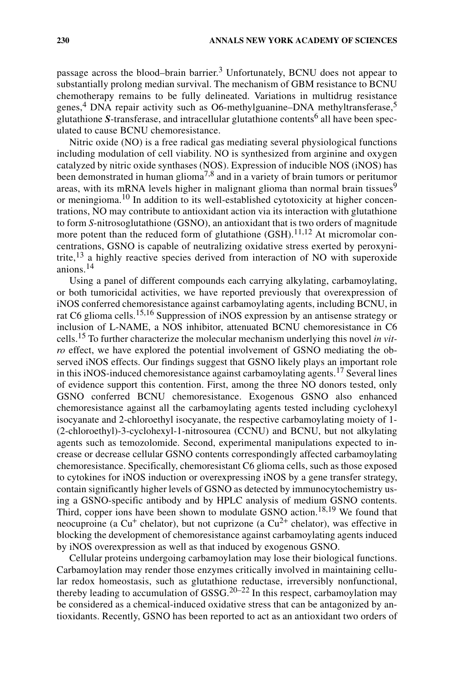passage across the blood–brain barrier.<sup>3</sup> Unfortunately, BCNU does not appear to substantially prolong median survival. The mechanism of GBM resistance to BCNU chemotherapy remains to be fully delineated. Variations in multidrug resistance genes, $4$  DNA repair activity such as O6-methylguanine–DNA methyltransferase, $5$ glutathione *S*-transferase, and intracellular glutathione contents<sup>6</sup> all have been speculated to cause BCNU chemoresistance.

Nitric oxide (NO) is a free radical gas mediating several physiological functions including modulation of cell viability. NO is synthesized from arginine and oxygen catalyzed by nitric oxide synthases (NOS). Expression of inducible NOS (iNOS) has been demonstrated in human glioma<sup>7,8</sup> and in a variety of brain tumors or peritumor areas, with its mRNA levels higher in malignant glioma than normal brain tissues<sup>9</sup> or meningioma.<sup>10</sup> In addition to its well-established cytotoxicity at higher concentrations, NO may contribute to antioxidant action via its interaction with glutathione to form *S*-nitrosoglutathione (GSNO), an antioxidant that is two orders of magnitude more potent than the reduced form of glutathione  $(GSH)$ .<sup>11,12</sup> At micromolar concentrations, GSNO is capable of neutralizing oxidative stress exerted by peroxynitrite,<sup>13</sup> a highly reactive species derived from interaction of NO with superoxide anions.<sup>14</sup>

Using a panel of different compounds each carrying alkylating, carbamoylating, or both tumoricidal activities, we have reported previously that overexpression of iNOS conferred chemoresistance against carbamoylating agents, including BCNU, in rat C6 glioma cells.<sup>15,16</sup> Suppression of iNOS expression by an antisense strategy or inclusion of L-NAME, a NOS inhibitor, attenuated BCNU chemoresistance in C6 cells.15 To further characterize the molecular mechanism underlying this novel *in vitro* effect, we have explored the potential involvement of GSNO mediating the observed iNOS effects. Our findings suggest that GSNO likely plays an important role in this iNOS-induced chemoresistance against carbamoylating agents.<sup>17</sup> Several lines of evidence support this contention. First, among the three NO donors tested, only GSNO conferred BCNU chemoresistance. Exogenous GSNO also enhanced chemoresistance against all the carbamoylating agents tested including cyclohexyl isocyanate and 2-chloroethyl isocyanate, the respective carbamoylating moiety of 1- (2-chloroethyl)-3-cyclohexyl-1-nitrosourea (CCNU) and BCNU, but not alkylating agents such as temozolomide. Second, experimental manipulations expected to increase or decrease cellular GSNO contents correspondingly affected carbamoylating chemoresistance. Specifically, chemoresistant C6 glioma cells, such as those exposed to cytokines for iNOS induction or overexpressing iNOS by a gene transfer strategy, contain significantly higher levels of GSNO as detected by immunocytochemistry using a GSNO-specific antibody and by HPLC analysis of medium GSNO contents. Third, copper ions have been shown to modulate GSNO action.<sup>18,19</sup> We found that neocuproine (a  $Cu<sup>+</sup>$  chelator), but not cuprizone (a  $Cu<sup>2+</sup>$  chelator), was effective in blocking the development of chemoresistance against carbamoylating agents induced by iNOS overexpression as well as that induced by exogenous GSNO.

Cellular proteins undergoing carbamoylation may lose their biological functions. Carbamoylation may render those enzymes critically involved in maintaining cellular redox homeostasis, such as glutathione reductase, irreversibly nonfunctional, thereby leading to accumulation of GSSG.<sup>20–22</sup> In this respect, carbamoylation may be considered as a chemical-induced oxidative stress that can be antagonized by antioxidants. Recently, GSNO has been reported to act as an antioxidant two orders of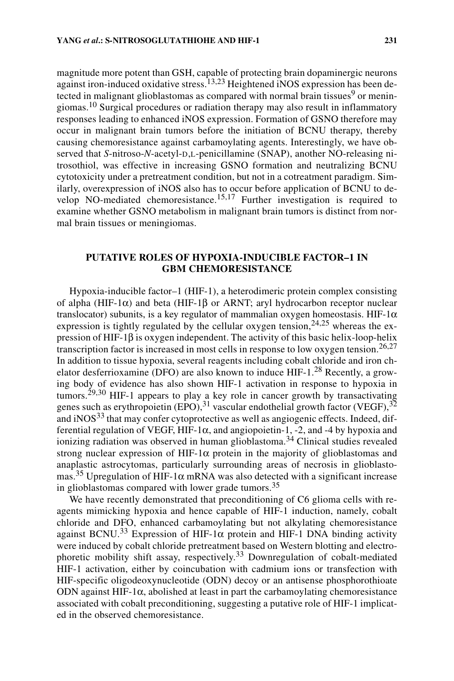magnitude more potent than GSH, capable of protecting brain dopaminergic neurons against iron-induced oxidative stress.<sup>13,23</sup> Heightened iNOS expression has been detected in malignant glioblastomas as compared with normal brain tissues<sup>9</sup> or meningiomas.<sup>10</sup> Surgical procedures or radiation therapy may also result in inflammatory responses leading to enhanced iNOS expression. Formation of GSNO therefore may occur in malignant brain tumors before the initiation of BCNU therapy, thereby causing chemoresistance against carbamoylating agents. Interestingly, we have observed that *S*-nitroso-*N*-acetyl-D,L-penicillamine (SNAP), another NO-releasing nitrosothiol, was effective in increasing GSNO formation and neutralizing BCNU cytotoxicity under a pretreatment condition, but not in a cotreatment paradigm. Similarly, overexpression of iNOS also has to occur before application of BCNU to develop NO-mediated chemoresistance.15,17 Further investigation is required to examine whether GSNO metabolism in malignant brain tumors is distinct from normal brain tissues or meningiomas.

## **PUTATIVE ROLES OF HYPOXIA-INDUCIBLE FACTOR–1 IN GBM CHEMORESISTANCE**

Hypoxia-inducible factor–1 (HIF-1), a heterodimeric protein complex consisting of alpha (HIF-1 $\alpha$ ) and beta (HIF-1 $\beta$  or ARNT; aryl hydrocarbon receptor nuclear translocator) subunits, is a key regulator of mammalian oxygen homeostasis. HIF-1 $\alpha$ expression is tightly regulated by the cellular oxygen tension,  $24.25$  whereas the expression of HIF-1β is oxygen independent. The activity of this basic helix-loop-helix transcription factor is increased in most cells in response to low oxygen tension.<sup>26,27</sup> In addition to tissue hypoxia, several reagents including cobalt chloride and iron chelator desferrioxamine (DFO) are also known to induce  $HIF-1<sup>28</sup>$  Recently, a growing body of evidence has also shown HIF-1 activation in response to hypoxia in tumors.<sup>29,30</sup> HIF-1 appears to play a key role in cancer growth by transactivating genes such as erythropoietin (EPO),  $31$  vascular endothelial growth factor (VEGF),  $32$ and  $i$ NOS<sup>33</sup> that may confer cytoprotective as well as angiogenic effects. Indeed, differential regulation of VEGF, HIF-1α, and angiopoietin-1, -2, and -4 by hypoxia and ionizing radiation was observed in human glioblastoma.34 Clinical studies revealed strong nuclear expression of HIF-1 $\alpha$  protein in the majority of glioblastomas and anaplastic astrocytomas, particularly surrounding areas of necrosis in glioblastomas.<sup>35</sup> Upregulation of HIF-1 $\alpha$  mRNA was also detected with a significant increase in glioblastomas compared with lower grade tumors.<sup>35</sup>

We have recently demonstrated that preconditioning of C6 glioma cells with reagents mimicking hypoxia and hence capable of HIF-1 induction, namely, cobalt chloride and DFO, enhanced carbamoylating but not alkylating chemoresistance against BCNU.<sup>33</sup> Expression of HIF-1 $\alpha$  protein and HIF-1 DNA binding activity were induced by cobalt chloride pretreatment based on Western blotting and electrophoretic mobility shift assay, respectively.33 Downregulation of cobalt-mediated HIF-1 activation, either by coincubation with cadmium ions or transfection with HIF-specific oligodeoxynucleotide (ODN) decoy or an antisense phosphorothioate ODN against HIF-1α, abolished at least in part the carbamoylating chemoresistance associated with cobalt preconditioning, suggesting a putative role of HIF-1 implicated in the observed chemoresistance.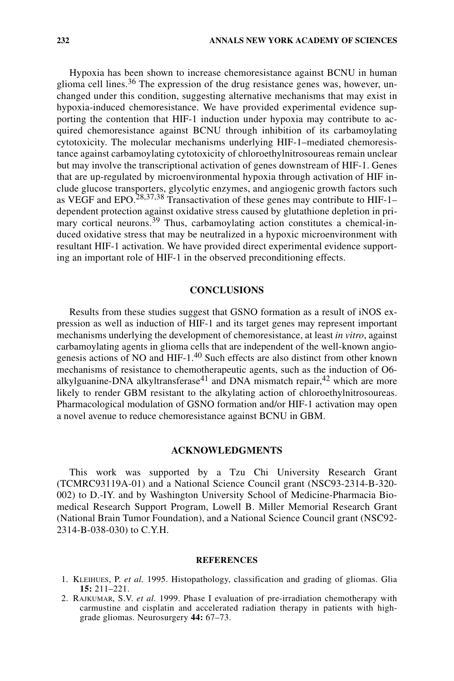Hypoxia has been shown to increase chemoresistance against BCNU in human glioma cell lines.<sup>36</sup> The expression of the drug resistance genes was, however, unchanged under this condition, suggesting alternative mechanisms that may exist in hypoxia-induced chemoresistance. We have provided experimental evidence supporting the contention that HIF-1 induction under hypoxia may contribute to acquired chemoresistance against BCNU through inhibition of its carbamoylating cytotoxicity. The molecular mechanisms underlying HIF-1–mediated chemoresistance against carbamoylating cytotoxicity of chloroethylnitrosoureas remain unclear but may involve the transcriptional activation of genes downstream of HIF-1. Genes that are up-regulated by microenvironmental hypoxia through activation of HIF include glucose transporters, glycolytic enzymes, and angiogenic growth factors such as VEGF and EPO.28,37,38 Transactivation of these genes may contribute to HIF-1– dependent protection against oxidative stress caused by glutathione depletion in primary cortical neurons.<sup>39</sup> Thus, carbamoylating action constitutes a chemical-induced oxidative stress that may be neutralized in a hypoxic microenvironment with resultant HIF-1 activation. We have provided direct experimental evidence supporting an important role of HIF-1 in the observed preconditioning effects.

# **CONCLUSIONS**

Results from these studies suggest that GSNO formation as a result of iNOS expression as well as induction of HIF-1 and its target genes may represent important mechanisms underlying the development of chemoresistance, at least *in vitro*, against carbamoylating agents in glioma cells that are independent of the well-known angiogenesis actions of NO and HIF-1.<sup>40</sup> Such effects are also distinct from other known mechanisms of resistance to chemotherapeutic agents, such as the induction of O6 alkylguanine-DNA alkyltransferase<sup>41</sup> and DNA mismatch repair,<sup>42</sup> which are more likely to render GBM resistant to the alkylating action of chloroethylnitrosoureas. Pharmacological modulation of GSNO formation and/or HIF-1 activation may open a novel avenue to reduce chemoresistance against BCNU in GBM.

#### **ACKNOWLEDGMENTS**

This work was supported by a Tzu Chi University Research Grant (TCMRC93119A-01) and a National Science Council grant (NSC93-2314-B-320- 002) to D.-IY. and by Washington University School of Medicine-Pharmacia Biomedical Research Support Program, Lowell B. Miller Memorial Research Grant (National Brain Tumor Foundation), and a National Science Council grant (NSC92- 2314-B-038-030) to C.Y.H.

#### **REFERENCES**

- 1. KLEIHUES, P. *et al.* 1995. Histopathology, classification and grading of gliomas. Glia **15:** 211–221.
- 2. RAJKUMAR, S.V. *et al.* 1999. Phase I evaluation of pre-irradiation chemotherapy with carmustine and cisplatin and accelerated radiation therapy in patients with highgrade gliomas. Neurosurgery **44:** 67–73.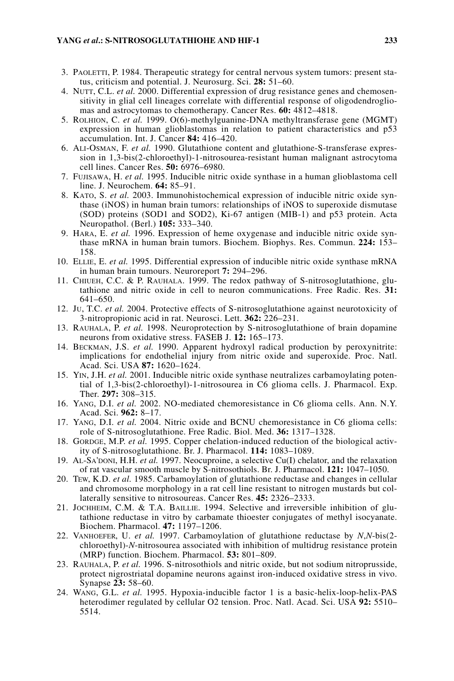#### **YANG** *et al***.: S***-***NITROSOGLUTATHIOHE AND HIF-1 233**

- 3. PAOLETTI, P. 1984. Therapeutic strategy for central nervous system tumors: present status, criticism and potential. J. Neurosurg. Sci. **28:** 51–60.
- 4. NUTT, C.L. *et al.* 2000. Differential expression of drug resistance genes and chemosensitivity in glial cell lineages correlate with differential response of oligodendrogliomas and astrocytomas to chemotherapy. Cancer Res. **60:** 4812–4818.
- 5. ROLHION, C. *et al.* 1999. O(6)-methylguanine-DNA methyltransferase gene (MGMT) expression in human glioblastomas in relation to patient characteristics and p53 accumulation. Int. J. Cancer **84:** 416–420.
- 6. ALI-OSMAN, F. *et al.* 1990. Glutathione content and glutathione-S-transferase expression in 1,3-bis(2-chloroethyl)-1-nitrosourea-resistant human malignant astrocytoma cell lines. Cancer Res. **50:** 6976–6980.
- 7. FUJISAWA, H. *et al.* 1995. Inducible nitric oxide synthase in a human glioblastoma cell line. J. Neurochem. **64:** 85–91.
- 8. KATO, S. *et al.* 2003. Immunohistochemical expression of inducible nitric oxide synthase (iNOS) in human brain tumors: relationships of iNOS to superoxide dismutase (SOD) proteins (SOD1 and SOD2), Ki-67 antigen (MIB-1) and p53 protein. Acta Neuropathol. (Berl.) **105:** 333–340.
- 9. HARA, E. *et al.* 1996. Expression of heme oxygenase and inducible nitric oxide synthase mRNA in human brain tumors. Biochem. Biophys. Res. Commun. **224:** 153– 158.
- 10. ELLIE, E. *et al.* 1995. Differential expression of inducible nitric oxide synthase mRNA in human brain tumours. Neuroreport **7:** 294–296.
- 11. CHIUEH, C.C. & P. RAUHALA. 1999. The redox pathway of S-nitrosoglutathione, glutathione and nitric oxide in cell to neuron communications. Free Radic. Res. **31:** 641–650.
- 12. JU, T.C. *et al.* 2004. Protective effects of S-nitrosoglutathione against neurotoxicity of 3-nitropropionic acid in rat. Neurosci. Lett. **362:** 226–231.
- 13. RAUHALA, P. *et al.* 1998. Neuroprotection by S-nitrosoglutathione of brain dopamine neurons from oxidative stress. FASEB J. **12:** 165–173.
- 14. BECKMAN, J.S. *et al.* 1990. Apparent hydroxyl radical production by peroxynitrite: implications for endothelial injury from nitric oxide and superoxide. Proc. Natl. Acad. Sci. USA **87:** 1620–1624.
- 15. YIN, J.H. *et al.* 2001. Inducible nitric oxide synthase neutralizes carbamoylating potential of 1,3-bis(2-chloroethyl)-1-nitrosourea in C6 glioma cells. J. Pharmacol. Exp. Ther. **297:** 308–315.
- 16. YANG, D.I. *et al.* 2002. NO-mediated chemoresistance in C6 glioma cells. Ann. N.Y. Acad. Sci. **962:** 8–17.
- 17. YANG, D.I. *et al.* 2004. Nitric oxide and BCNU chemoresistance in C6 glioma cells: role of S-nitrosoglutathione. Free Radic. Biol. Med. **36:** 1317–1328.
- 18. GORDGE, M.P. *et al.* 1995. Copper chelation-induced reduction of the biological activity of S-nitrosoglutathione. Br. J. Pharmacol. **114:** 1083–1089.
- 19. AL-SA'DONI, H.H. *et al.* 1997. Neocuproine, a selective Cu(I) chelator, and the relaxation of rat vascular smooth muscle by S-nitrosothiols. Br. J. Pharmacol. **121:** 1047–1050.
- 20. TEW, K.D. *et al.* 1985. Carbamoylation of glutathione reductase and changes in cellular and chromosome morphology in a rat cell line resistant to nitrogen mustards but collaterally sensitive to nitrosoureas. Cancer Res. **45:** 2326–2333.
- 21. JOCHHEIM, C.M. & T.A. BAILLIE. 1994. Selective and irreversible inhibition of glutathione reductase in vitro by carbamate thioester conjugates of methyl isocyanate. Biochem. Pharmacol. **47:** 1197–1206.
- 22. VANHOEFER, U. *et al.* 1997. Carbamoylation of glutathione reductase by *N*,*N*-bis(2 chloroethyl)-*N*-nitrosourea associated with inhibition of multidrug resistance protein (MRP) function. Biochem. Pharmacol. **53:** 801–809.
- 23. RAUHALA, P. *et al.* 1996. S-nitrosothiols and nitric oxide, but not sodium nitroprusside, protect nigrostriatal dopamine neurons against iron-induced oxidative stress in vivo. Synapse **23:** 58–60.
- 24. WANG, G.L. *et al.* 1995. Hypoxia-inducible factor 1 is a basic-helix-loop-helix-PAS heterodimer regulated by cellular O2 tension. Proc. Natl. Acad. Sci. USA **92:** 5510– 5514.